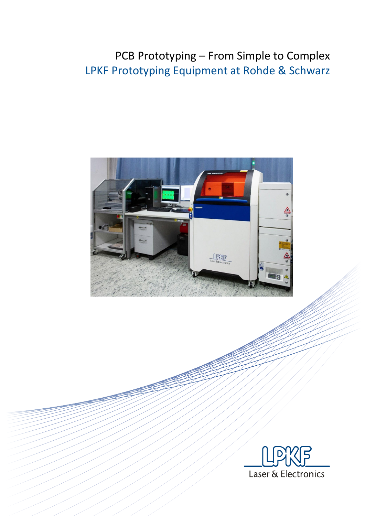# PCB Prototyping – From Simple to Complex LPKF Prototyping Equipment at Rohde & Schwarz



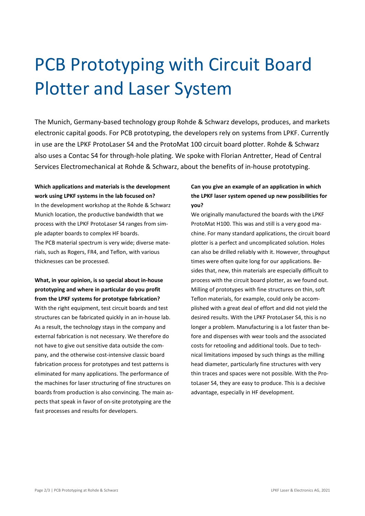# PCB Prototyping with Circuit Board Plotter and Laser System

The Munich, Germany-based technology group Rohde & Schwarz develops, produces, and markets electronic capital goods. For PCB prototyping, the developers rely on systems from LPKF. Currently in use are the LPKF ProtoLaser S4 and the ProtoMat 100 circuit board plotter. Rohde & Schwarz also uses a Contac S4 for through-hole plating. We spoke with Florian Antretter, Head of Central Services Electromechanical at Rohde & Schwarz, about the benefits of in-house prototyping.

# **Which applications and materials is the development work using LPKF systems in the lab focused on?**

In the development workshop at the Rohde & Schwarz Munich location, the productive bandwidth that we process with the LPKF ProtoLaser S4 ranges from simple adapter boards to complex HF boards. The PCB material spectrum is very wide; diverse materials, such as Rogers, FR4, and Teflon, with various thicknesses can be processed.

**What, in your opinion, is so special about in-house prototyping and where in particular do you profit from the LPKF systems for prototype fabrication?** With the right equipment, test circuit boards and test structures can be fabricated quickly in an in-house lab. As a result, the technology stays in the company and external fabrication is not necessary. We therefore do not have to give out sensitive data outside the company, and the otherwise cost-intensive classic board fabrication process for prototypes and test patterns is eliminated for many applications. The performance of the machines for laser structuring of fine structures on boards from production is also convincing. The main aspects that speak in favor of on-site prototyping are the fast processes and results for developers.

### **Can you give an example of an application in which the LPKF laser system opened up new possibilities for you?**

We originally manufactured the boards with the LPKF ProtoMat H100. This was and still is a very good machine. For many standard applications, the circuit board plotter is a perfect and uncomplicated solution. Holes can also be drilled reliably with it. However, throughput times were often quite long for our applications. Besides that, new, thin materials are especially difficult to process with the circuit board plotter, as we found out. Milling of prototypes with fine structures on thin, soft Teflon materials, for example, could only be accomplished with a great deal of effort and did not yield the desired results. With the LPKF ProtoLaser S4, this is no longer a problem. Manufacturing is a lot faster than before and dispenses with wear tools and the associated costs for retooling and additional tools. Due to technical limitations imposed by such things as the milling head diameter, particularly fine structures with very thin traces and spaces were not possible. With the ProtoLaser S4, they are easy to produce. This is a decisive advantage, especially in HF development.